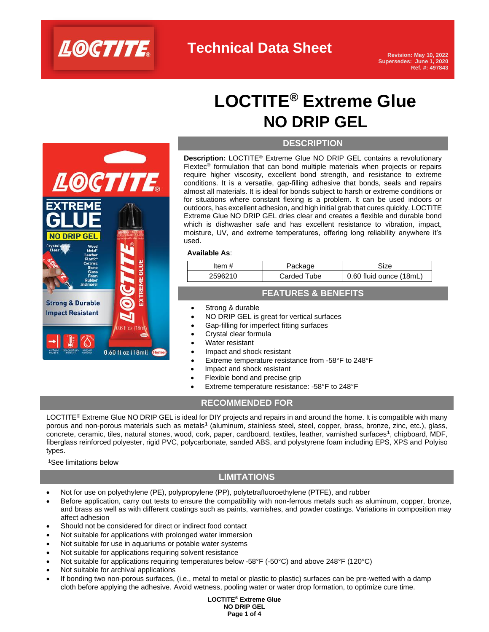

LOCTITE

0.6 fl oz (18r

0.60 fl oz (18ml)

**DRIP GE** 

**Strong & Durable Impact Resistant** 

# **LOCTITE® Extreme Glue NO DRIP GEL**



**Description:** LOCTITE® Extreme Glue NO DRIP GEL contains a revolutionary Flextec<sup>®</sup> formulation that can bond multiple materials when projects or repairs require higher viscosity, excellent bond strength, and resistance to extreme conditions. It is a versatile, gap-filling adhesive that bonds, seals and repairs almost all materials. It is ideal for bonds subject to harsh or extreme conditions or for situations where constant flexing is a problem. It can be used indoors or outdoors, has excellent adhesion, and high initial grab that cures quickly. LOCTITE Extreme Glue NO DRIP GEL dries clear and creates a flexible and durable bond which is dishwasher safe and has excellent resistance to vibration, impact, moisture, UV, and extreme temperatures, offering long reliability anywhere it's used.

### **Available As**:

| Item #  | Package     | Size                    |
|---------|-------------|-------------------------|
| 2596210 | Carded Tube | 0.60 fluid ounce (18mL) |

### **FEATURES & BENEFITS**

- Strong & durable
- NO DRIP GEL is great for vertical surfaces
- Gap-filling for imperfect fitting surfaces
- Crystal clear formula
- Water resistant
- Impact and shock resistant
- Extreme temperature resistance from -58°F to 248°F
- Impact and shock resistant
- Flexible bond and precise grip
- Extreme temperature resistance: -58°F to 248°F

### **RECOMMENDED FOR**

LOCTITE® Extreme Glue NO DRIP GEL is ideal for DIY projects and repairs in and around the home. It is compatible with many porous and non-porous materials such as metals**<sup>1</sup>** (aluminum, stainless steel, steel, copper, brass, bronze, zinc, etc.), glass, concrete, ceramic, tiles, natural stones, wood, cork, paper, cardboard, textiles, leather, varnished surfaces**<sup>1</sup>** , chipboard, MDF, fiberglass reinforced polyester, rigid PVC, polycarbonate, sanded ABS, and polystyrene foam including EPS, XPS and Polyiso types.

**<sup>1</sup>**See limitations below

### **LIMITATIONS**

- Not for use on polyethylene (PE), polypropylene (PP), polytetrafluoroethylene (PTFE), and rubber
- Before application, carry out tests to ensure the compatibility with non-ferrous metals such as aluminum, copper, bronze, and brass as well as with different coatings such as paints, varnishes, and powder coatings. Variations in composition may affect adhesion
- Should not be considered for direct or indirect food contact
- Not suitable for applications with prolonged water immersion
- Not suitable for use in aquariums or potable water systems
- Not suitable for applications requiring solvent resistance
- Not suitable for applications requiring temperatures below -58°F (-50°C) and above 248°F (120°C)
- Not suitable for archival applications
- If bonding two non-porous surfaces, (i.e., metal to metal or plastic to plastic) surfaces can be pre-wetted with a damp cloth before applying the adhesive. Avoid wetness, pooling water or water drop formation, to optimize cure time.

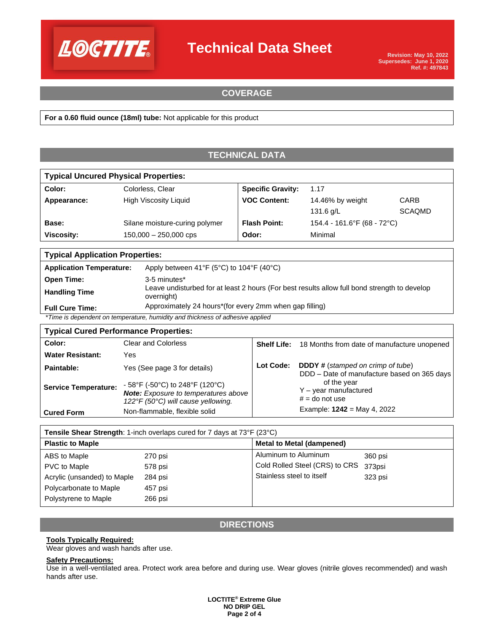

# **Technical Data Sheet**

## **COVERAGE**

**For a 0.60 fluid ounce (18ml) tube:** Not applicable for this product

### **TECHNICAL DATA**

| <b>Typical Uncured Physical Properties:</b> |                                |                          |                                |               |  |  |
|---------------------------------------------|--------------------------------|--------------------------|--------------------------------|---------------|--|--|
| Color:                                      | Colorless, Clear               | <b>Specific Gravity:</b> | 1.17                           |               |  |  |
| Appearance:                                 | High Viscosity Liquid          | <b>VOC Content:</b>      | 14.46% by weight               | CARB          |  |  |
|                                             |                                |                          | 131.6 $g/L$                    | <b>SCAQMD</b> |  |  |
| Base:                                       | Silane moisture-curing polymer | <b>Flash Point:</b>      | $154.4 - 161.6$ °F (68 - 72°C) |               |  |  |
| Viscosity:                                  | $150,000 - 250,000$ cps        | Odor:                    | Minimal                        |               |  |  |

| <b>Typical Application Properties:</b>                                        |                                                                                                            |  |
|-------------------------------------------------------------------------------|------------------------------------------------------------------------------------------------------------|--|
| <b>Application Temperature:</b>                                               | Apply between 41°F (5°C) to 104°F (40°C)                                                                   |  |
| <b>Open Time:</b>                                                             | 3-5 minutes*                                                                                               |  |
| <b>Handling Time</b>                                                          | Leave undisturbed for at least 2 hours (For best results allow full bond strength to develop<br>overnight) |  |
| <b>Full Cure Time:</b>                                                        | Approximately 24 hours*(for every 2mm when gap filling)                                                    |  |
| *Time is dependent on temperature, humidity and thickness of adhesive applied |                                                                                                            |  |

### **Typical Cured Performance Properties:**

| . .                         |                                                                                                                                                                |           |                                                                                         |
|-----------------------------|----------------------------------------------------------------------------------------------------------------------------------------------------------------|-----------|-----------------------------------------------------------------------------------------|
| Color:                      | <b>Clear and Colorless</b>                                                                                                                                     |           | <b>Shelf Life:</b> 18 Months from date of manufacture unopened                          |
| <b>Water Resistant:</b>     | Yes                                                                                                                                                            |           |                                                                                         |
| Paintable:                  | Yes (See page 3 for details)                                                                                                                                   | Lot Code: | <b>DDDY</b> # (stamped on crimp of tube)<br>DDD - Date of manufacture based on 365 days |
| <b>Service Temperature:</b> | $-58^{\circ}$ F (-50 $^{\circ}$ C) to 248 $^{\circ}$ F (120 $^{\circ}$ C)<br><b>Note:</b> Exposure to temperatures above<br>122°F (50°C) will cause yellowing. |           | of the year<br>$Y - year$ manufactured<br>$# =$ do not use                              |
| <b>Cured Form</b>           | Non-flammable, flexible solid                                                                                                                                  |           | Example: $1242 = May 4, 2022$                                                           |

| <b>Tensile Shear Strength:</b> 1-inch overlaps cured for 7 days at 73°F (23°C) |         |                                |         |  |
|--------------------------------------------------------------------------------|---------|--------------------------------|---------|--|
| <b>Plastic to Maple</b>                                                        |         | Metal to Metal (dampened)      |         |  |
| ABS to Maple                                                                   | 270 psi | Aluminum to Aluminum           | 360 psi |  |
| PVC to Maple                                                                   | 578 psi | Cold Rolled Steel (CRS) to CRS | 373psi  |  |
| Acrylic (unsanded) to Maple                                                    | 284 psi | Stainless steel to itself      | 323 psi |  |
| Polycarbonate to Maple                                                         | 457 psi |                                |         |  |
| Polystyrene to Maple                                                           | 266 psi |                                |         |  |

### **DIRECTIONS**

### **Tools Typically Required:**

Wear gloves and wash hands after use.

#### **Safety Precautions:**

Use in a well-ventilated area. Protect work area before and during use. Wear gloves (nitrile gloves recommended) and wash hands after use.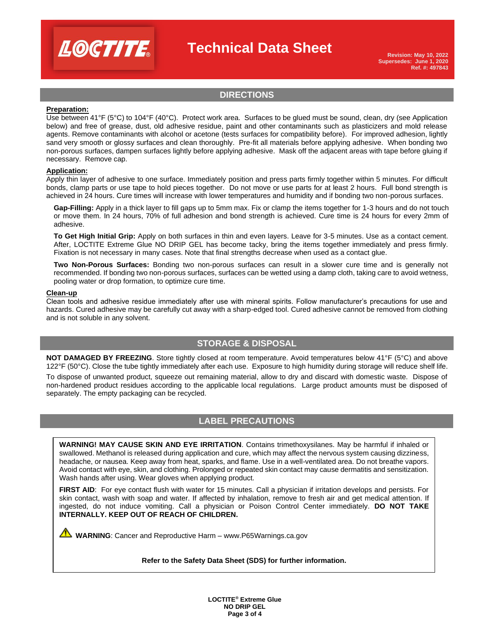

# **Technical Data Sheet**

**Revision: May 10, 2022 Supersedes: June 1, 2020 Ref. #: 497843**

### **DIRECTIONS**

### **Preparation:**

Use between 41°F (5°C) to 104°F (40°C). Protect work area. Surfaces to be glued must be sound, clean, dry (see Application below) and free of grease, dust, old adhesive residue, paint and other contaminants such as plasticizers and mold release agents. Remove contaminants with alcohol or acetone (tests surfaces for compatibility before). For improved adhesion, lightly sand very smooth or glossy surfaces and clean thoroughly. Pre-fit all materials before applying adhesive. When bonding two non-porous surfaces, dampen surfaces lightly before applying adhesive. Mask off the adjacent areas with tape before gluing if necessary. Remove cap.

### **Application:**

Apply thin layer of adhesive to one surface. Immediately position and press parts firmly together within 5 minutes. For difficult bonds, clamp parts or use tape to hold pieces together. Do not move or use parts for at least 2 hours. Full bond strength is achieved in 24 hours. Cure times will increase with lower temperatures and humidity and if bonding two non-porous surfaces.

**Gap-Filling:** Apply in a thick layer to fill gaps up to 5mm max. Fix or clamp the items together for 1-3 hours and do not touch or move them. In 24 hours, 70% of full adhesion and bond strength is achieved. Cure time is 24 hours for every 2mm of adhesive.

**To Get High Initial Grip:** Apply on both surfaces in thin and even layers. Leave for 3-5 minutes. Use as a contact cement. After, LOCTITE Extreme Glue NO DRIP GEL has become tacky, bring the items together immediately and press firmly. Fixation is not necessary in many cases. Note that final strengths decrease when used as a contact glue.

**Two Non-Porous Surfaces:** Bonding two non-porous surfaces can result in a slower cure time and is generally not recommended. If bonding two non-porous surfaces, surfaces can be wetted using a damp cloth, taking care to avoid wetness, pooling water or drop formation, to optimize cure time.

### **Clean-up**

Clean tools and adhesive residue immediately after use with mineral spirits. Follow manufacturer's precautions for use and hazards. Cured adhesive may be carefully cut away with a sharp-edged tool. Cured adhesive cannot be removed from clothing and is not soluble in any solvent.

### **STORAGE & DISPOSAL**

**NOT DAMAGED BY FREEZING**. Store tightly closed at room temperature. Avoid temperatures below 41°F (5°C) and above 122°F (50°C). Close the tube tightly immediately after each use. Exposure to high humidity during storage will reduce shelf life.

To dispose of unwanted product, squeeze out remaining material, allow to dry and discard with domestic waste. Dispose of non-hardened product residues according to the applicable local regulations. Large product amounts must be disposed of separately. The empty packaging can be recycled.

### **LABEL PRECAUTIONS**

**WARNING! MAY CAUSE SKIN AND EYE IRRITATION**. Contains trimethoxysilanes. May be harmful if inhaled or swallowed. Methanol is released during application and cure, which may affect the nervous system causing dizziness, headache, or nausea. Keep away from heat, sparks, and flame. Use in a well-ventilated area. Do not breathe vapors. Avoid contact with eye, skin, and clothing. Prolonged or repeated skin contact may cause dermatitis and sensitization. Wash hands after using. Wear gloves when applying product.

**FIRST AID**: For eye contact flush with water for 15 minutes. Call a physician if irritation develops and persists. For skin contact, wash with soap and water. If affected by inhalation, remove to fresh air and get medical attention. If ingested, do not induce vomiting. Call a physician or Poison Control Center immediately. **DO NOT TAKE INTERNALLY. KEEP OUT OF REACH OF CHILDREN.**

 **WARNING**: Cancer and Reproductive Harm – www.P65Warnings.ca.gov

#### **Refer to the Safety Data Sheet (SDS) for further information.**

**LOCTITE® Extreme Glue NO DRIP GEL Page 3 of 4**